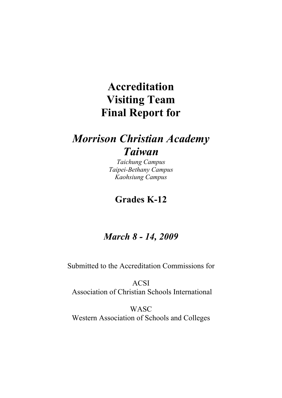# **Accreditation Visiting Team Final Report for**

# *Morrison Christian Academy Taiwan*

*Taichung Campus Taipei-Bethany Campus Kaohsiung Campus* 

# **Grades K-12**

# *March 8 - 14, 2009*

Submitted to the Accreditation Commissions for

ACSI Association of Christian Schools International

**WASC** Western Association of Schools and Colleges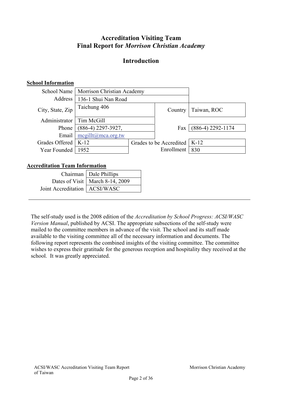# **Accreditation Visiting Team Final Report for** *Morrison Christian Academy*

## **Introduction**

#### **School Information**

|                            | School Name   Morrison Christian Academy |                         |                     |
|----------------------------|------------------------------------------|-------------------------|---------------------|
| Address                    | 136-1 Shui Nan Road                      |                         |                     |
| City, State, Zip           | Taichung 406                             | Country                 | Taiwan, ROC         |
| Administrator   Tim McGill |                                          |                         |                     |
| Phone                      | $(886-4)$ 2297-3927,                     | Fax                     | $(886-4)$ 2292-1174 |
| Email                      | megillt@mea.org.tw                       |                         |                     |
| Grades Offered             | $K-12$                                   | Grades to be Accredited | $K-12$              |
| Year Founded               | 1952                                     | Enrollment              | 830                 |

#### **Accreditation Team Information**

|                               | Chairman   Dale Phillips        |
|-------------------------------|---------------------------------|
|                               | Dates of Visit March 8-14, 2009 |
| Joint Accreditation ACSI/WASC |                                 |

The self-study used is the 2008 edition of the *Accreditation by School Progress: ACSI/WASC Version Manual*, published by ACSI. The appropriate subsections of the self-study were mailed to the committee members in advance of the visit. The school and its staff made available to the visiting committee all of the necessary information and documents. The following report represents the combined insights of the visiting committee. The committee wishes to express their gratitude for the generous reception and hospitality they received at the school. It was greatly appreciated.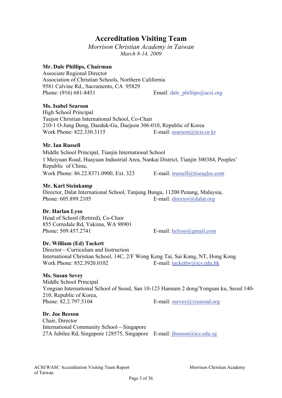## 210-1 O-Jung Dong, Daeduk-Gu, Daejeon 306-010, Republic of Korea

Work Phone: 822.330.3115 E-mail: [searsoni@tcis.or.kr](mailto:searsoni@tcis.or.kr)

## **Mr. Ian Russell**

**Ms. Isabel Searson**  High School Principal

Middle School Principal, Tianjin International School 1 Meiyuan Road, Huayuan Industrial Area, Nankai District, Tianjin 300384, Peoples' Republic of China, Work Phone: 86.22.8371.0900, Ext. 323 E-mail: [irussell@tiseagles.com](mailto:irussell@tiseagles.com)

#### **Mr. Karl Steinkamp**

Director, Dalat International School, Tanjung Bunga, 11200 Penang, Malaysia, Phone: 605.899.2105 E-mail: [director@dalat.org](mailto:director@dalat.org)

#### **Dr. Harlan Lyso**

Head of School (Retired), Co-Chair 855 Corredale Rd, Yakima, WA 98901 Phone: 509.457.2741 E-mail: [helyso@gmail.com](mailto:helyso@gmail.com)

#### **Dr. William (Ed) Tackett**

Director—Curriculum and Instruction International Christian School, 14C, 2/F Wong Keng Tai, Sai Kung, NT, Hong Kong Work Phone: 852.3920.0102 E-mail: [tackettw@ics.edu.hk](mailto:tackettw@ics.edu.hk)

#### **Ms. Susan Sevey**

Middle School Principal Yongsan International School of Seoul, San 10-123 Hannam 2 dong/Yongsan ku, Seoul 140- 210, Republic of Korea, Phone: 82.2.797.5104 E-mail: [ssevey@yisseoul.org](mailto:ssevey@yisseoul.org)

#### **Dr. Joe Beeson**

Chair, Director International Community School—Singapore 27A Jubilee Rd, Singapore 128575, Singapore E-mail: [jbeeson@ics.edu.sg](mailto:jbeeson@ics.edu.sg)

# **Accreditation Visiting Team**

*Morrison Christian Academy in Taiwan March 8-14, 2009*

# **Mr. Dale Phillips, Chairman**

Associate Regional Director Association of Christian Schools, Northern California 9581 Calvine Rd., Sacramento, CA 95829 Phone:  $(916)$  681-8451 Email: dale phillips@acsi.org

Taejon Christian International School, Co-Chair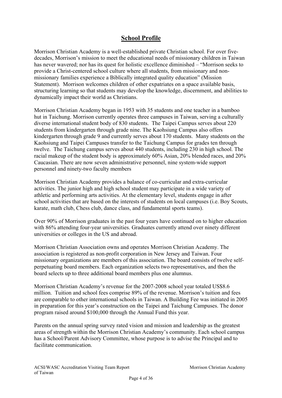#### **School Profile**

Morrison Christian Academy is a well-established private Christian school. For over fivedecades, Morrison's mission to meet the educational needs of missionary children in Taiwan has never wavered; nor has its quest for holistic excellence diminished – "Morrison seeks to provide a Christ-centered school culture where all students, from missionary and nonmissionary families experience a Biblically integrated quality education" (Mission Statement). Morrison welcomes children of other expatriates on a space available basis, structuring learning so that students may develop the knowledge, discernment, and abilities to dynamically impact their world as Christians.

Morrison Christian Academy began in 1953 with 35 students and one teacher in a bamboo hut in Taichung. Morrison currently operates three campuses in Taiwan, serving a culturally diverse international student body of 830 students. The Taipei Campus serves about 220 students from kindergarten through grade nine. The Kaohsiung Campus also offers kindergarten through grade 9 and currently serves about 170 students. Many students on the Kaohsiung and Taipei Campuses transfer to the Taichung Campus for grades ten through twelve. The Taichung campus serves about 440 students, including 230 in high school. The racial makeup of the student body is approximately 60% Asian, 20% blended races, and 20% Caucasian. There are now seven administrative personnel, nine system-wide support personnel and ninety-two faculty members

Morrison Christian Academy provides a balance of co-curricular and extra-curricular activities. The junior high and high school student may participate in a wide variety of athletic and performing arts activities. At the elementary level, students engage in after school activities that are based on the interests of students on local campuses (i.e. Boy Scouts, karate, math club, Chess club, dance class, and fundamental sports teams).

Over 90% of Morrison graduates in the past four years have continued on to higher education with 86% attending four-year universities. Graduates currently attend over ninety different universities or colleges in the US and abroad.

Morrison Christian Association owns and operates Morrison Christian Academy. The association is registered as non-profit corporation in New Jersey and Taiwan. Four missionary organizations are members of this association. The board consists of twelve selfperpetuating board members. Each organization selects two representatives, and then the board selects up to three additional board members plus one alumnus.

Morrison Christian Academy's revenue for the 2007-2008 school year totaled US\$8.6 million. Tuition and school fees comprise 89% of the revenue. Morrison's tuition and fees are comparable to other international schools in Taiwan. A Building Fee was initiated in 2005 in preparation for this year's construction on the Taipei and Taichung Campuses. The donor program raised around \$100,000 through the Annual Fund this year.

Parents on the annual spring survey rated vision and mission and leadership as the greatest areas of strength within the Morrison Christian Academy's community. Each school campus has a School/Parent Advisory Committee, whose purpose is to advise the Principal and to facilitate communication.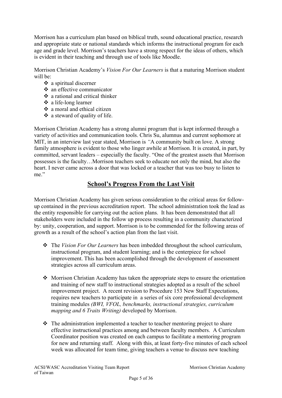Morrison has a curriculum plan based on biblical truth, sound educational practice, research and appropriate state or national standards which informs the instructional program for each age and grade level. Morrison's teachers have a strong respect for the ideas of others, which is evident in their teaching and through use of tools like Moodle.

Morrison Christian Academy's *Vision For Our Learners* is that a maturing Morrison student will be:

- $\bullet$  a spiritual discerner
- $\triangleq$  an effective communicator
- $\div$  a rational and critical thinker
- a life-long learner
- a moral and ethical citizen
- a steward of quality of life.

Morrison Christian Academy has a strong alumni program that is kept informed through a variety of activities and communication tools. Chris Su, alumnus and current sophomore at MIT, in an interview last year stated, Morrison is *"*A community built on love. A strong family atmosphere is evident to those who linger awhile at Morrison. It is created, in part, by committed, servant leaders – especially the faculty. "One of the greatest assets that Morrison possesses is the faculty…Morrison teachers seek to educate not only the mind, but also the heart. I never came across a door that was locked or a teacher that was too busy to listen to me"

# **School's Progress From the Last Visit**

Morrison Christian Academy has given serious consideration to the critical areas for followup contained in the previous accreditation report. The school administration took the lead as the entity responsible for carrying out the action plans. It has been demonstrated that all stakeholders were included in the follow up process resulting in a community characterized by: unity, cooperation, and support. Morrison is to be commended for the following areas of growth as a result of the school's action plan from the last visit.

- The *Vision For Our Learners* has been imbedded throughout the school curriculum, instructional program, and student learning; and is the centerpiece for school improvement. This has been accomplished through the development of assessment strategies across all curriculum areas.
- Morrison Christian Academy has taken the appropriate steps to ensure the orientation and training of new staff to instructional strategies adopted as a result of the school improvement project. A recent revision to Procedure 153 New Staff Expectations, requires new teachers to participate in a series of six core professional development training modules *(BWI, VFOL, benchmarks, instructional strategies, curriculum mapping and 6 Traits Writing)* developed by Morrison.
- $\triangle$  The administration implemented a teacher to teacher mentoring project to share effective instructional practices among and between faculty members.A Curriculum Coordinator position was created on each campus to facilitate a mentoring program for new and returning staff. Along with this, at least forty-five minutes of each school week was allocated for team time, giving teachers a venue to discuss new teaching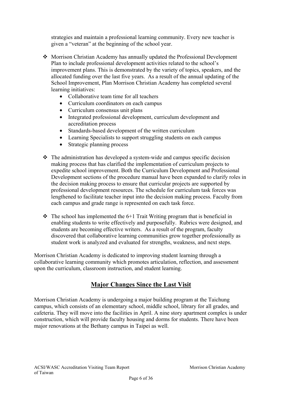strategies and maintain a professional learning community. Every new teacher is given a "veteran" at the beginning of the school year.

- Morrison Christian Academy has annually updated the Professional Development Plan to include professional development activities related to the school's improvement plans. This is demonstrated by the variety of topics, speakers, and the allocated funding over the last five years. As a result of the annual updating of the School Improvement, Plan Morrison Christian Academy has completed several learning initiatives:
	- Collaborative team time for all teachers
	- Curriculum coordinators on each campus
	- Curriculum consensus unit plans
	- Integrated professional development, curriculum development and accreditation process
	- Standards-based development of the written curriculum
	- Learning Specialists to support struggling students on each campus
	- Strategic planning process
- $\triangle$  The administration has developed a system-wide and campus specific decision making process that has clarified the implementation of curriculum projects to expedite school improvement. Both the Curriculum Development and Professional Development sections of the procedure manual have been expanded to clarify roles in the decision making process to ensure that curricular projects are supported by professional development resources. The schedule for curriculum task forces was lengthened to facilitate teacher input into the decision making process. Faculty from each campus and grade range is represented on each task force.
- $\cdot \cdot$  The school has implemented the 6+1 Trait Writing program that is beneficial in enabling students to write effectively and purposefully. Rubrics were designed, and students are becoming effective writers. As a result of the program, faculty discovered that collaborative learning communities grow together professionally as student work is analyzed and evaluated for strengths, weakness, and next steps.

Morrison Christian Academy is dedicated to improving student learning through a collaborative learning community which promotes articulation, reflection, and assessment upon the curriculum, classroom instruction, and student learning.

# **Major Changes Since the Last Visit**

Morrison Christian Academy is undergoing a major building program at the Taichung campus, which consists of an elementary school, middle school, library for all grades, and cafeteria. They will move into the facilities in April. A nine story apartment complex is under construction, which will provide faculty housing and dorms for students. There have been major renovations at the Bethany campus in Taipei as well.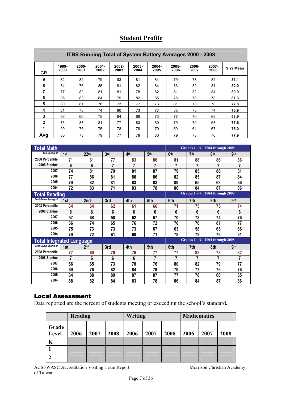| <b>ITBS Running Total of System Battery Averages 2000 - 2008</b> |      |                 |               |                  |                  |                 |                 |                 |                 |                 |                                    |                  |                |
|------------------------------------------------------------------|------|-----------------|---------------|------------------|------------------|-----------------|-----------------|-----------------|-----------------|-----------------|------------------------------------|------------------|----------------|
| <b>GR</b>                                                        |      | 1999-<br>2000   | 2000-<br>2001 |                  | $2001 -$<br>2002 |                 | 2002-<br>2003   | 2003-<br>2004   | 2004-<br>2005   | 2005-<br>2006   | 2006-<br>2007                      | $2007 -$<br>2008 | 9 Yr Mean      |
| 9                                                                |      | 82              | 82            |                  | 79               |                 | 83              | 81              | 84              | 79              | 78                                 | 82               | 81.1           |
| 8                                                                |      | 84              | 76            |                  | 85               |                 | 81              | 82              | 84              | 83              | 82                                 | 81               | 82.0           |
| 7                                                                |      | 77              | 82            |                  | 81               |                 | 81              | 78              | 82              | 81              | 82                                 | 84               | 80.9           |
| 6                                                                |      | 85              | 83            |                  | 84               |                 | 79              | 82              | 85              | 78              | 78                                 | 78               | 81.3           |
| 5                                                                |      | 80              | 81            |                  | 76               |                 | 73              | 77              | 76              | 81              | 78                                 | 78               | 77.8           |
| 4                                                                |      | 81              | 73            |                  | 74               |                 | 80              | 73              | 77              | 85              | 75                                 | 74               | 76.9           |
| 3                                                                |      | 66              | 60            |                  | 75               |                 | 64              | 66              | 73              | 77              | 70                                 | 69               | 68.9           |
| $\overline{2}$                                                   |      | 73              | 87            |                  | 81               |                 | 77              | 83              | 80              | 79              | 70                                 | 68               | 77.6           |
| 1                                                                |      | 90              | 75            |                  | 75               |                 | 78              | 78              | 79              | 69              | 64                                 | 67               | 75.0           |
| Avg                                                              |      | 80              | 78            |                  | 79               |                 | 77              | 78              | 80              | 79              | 75                                 | 76               | 77.9           |
|                                                                  |      |                 |               |                  |                  |                 |                 |                 |                 |                 |                                    |                  |                |
| <b>Total Math</b><br>Grades $1 - 9$ ; 2004 through 2008          |      |                 |               |                  |                  |                 |                 |                 |                 |                 |                                    |                  |                |
| <b>Ten Spring of</b>                                             |      | 1st1            |               | 22 <sub>nd</sub> |                  | 3 <sub>rd</sub> |                 | 4th             | 5 <sup>th</sup> | 6 <sup>th</sup> | 7 <sup>th</sup>                    | <b>8th</b>       | <b>gth</b>     |
| 2008 Percentile                                                  |      | 71              |               |                  | 61               |                 | 77              | 83              | 86              | 81              | 88                                 | 86               | 86             |
| 2008 Stanine                                                     |      | 6               |               |                  | 6                |                 | 7               | 7               | 7               | 7               | 7                                  | 7                | 7              |
|                                                                  | 2007 | 74              |               |                  | 81               |                 | 79              | 81              | 87              | 79              | 85                                 | 86               | 81             |
|                                                                  | 2006 | 77              |               |                  | 86               |                 | 81              | 88              | 86              | 82              | 85                                 | 87               | 84             |
|                                                                  | 2005 | 79              |               |                  | 82               |                 | 81              | 83              | 83              | 89              | 65                                 | 63               | 66             |
|                                                                  | 2004 | 72              |               |                  | 83               |                 | 71              | 83              | 78              | 86              | 84                                 | 87               | 86             |
| <b>Total Reading</b>                                             |      |                 |               |                  |                  |                 |                 |                 |                 |                 | Grades $1 - 9$ ; 2004 through 2008 |                  |                |
| <b>Test Given Spring of</b>                                      |      | 1st             |               | 2nd              |                  | 3rd             |                 | 4th             | 5th             | 6th             | 7th                                | 8th              | <b>gth</b>     |
| 2008 Percentile<br>2008 Stanine                                  |      | 64              |               |                  | 64               |                 | 62              | 61              | 66              | 71              | 75                                 | 75               | 74             |
|                                                                  | 2007 | 6<br>57         |               |                  | 6<br>68          |                 | 6<br>58         | 6<br>62         | 6<br>67         | 6<br>70         | 6<br>73                            | 6<br>74          | 6<br>76        |
|                                                                  | 2006 | 66              |               |                  | 74               |                 | 65              | 76              | 72              | 70              | $\overline{76}$                    | 81               | 77             |
|                                                                  | 2005 | 75              |               |                  | 73               |                 | $\overline{73}$ | $\overline{73}$ | 67              | 63              | 58                                 | 65               | 66             |
|                                                                  | 2004 | $\overline{79}$ |               |                  | $\overline{72}$  |                 | 61              | 68              | 71              | 78              | $\overline{72}$                    | 76               | 81             |
| <b>Total Integrated Language</b>                                 |      |                 |               |                  |                  |                 |                 |                 |                 |                 | Grades $1 - 9$ ; 2004 through 2008 |                  |                |
| <b>Test Given Spring of</b>                                      |      | 1st             |               | 2 <sub>nd</sub>  |                  | 3rd             |                 | 4th             | 5th             | 6th             | 7th                                | 8th              | <b>gth</b>     |
| 2008 Percentile                                                  |      | 77              |               |                  | 60               |                 | 70              | 76              | 77              | 77              | 82                                 | 78               | 82             |
| 2008 Stanine                                                     |      |                 |               |                  | 6                |                 | 6               | 6               | 7               | $\overline{7}$  | $\overline{7}$                     | $\overline{7}$   | $\overline{7}$ |
|                                                                  | 2007 | 66              |               |                  | 65               |                 | 73              | 78              | 76              | 80              | 82                                 | 79               | 77             |
|                                                                  | 2006 | 69              |               |                  | 76               |                 | 82              | 84              | 79              | 79              | 77                                 | 76               | 76             |
|                                                                  | 2005 | 84              |               |                  | 88               |                 | 89              | 87              | 87              | 77              | 78                                 | 66               | 65             |
|                                                                  | 2004 | 88              |               |                  | 82               |                 | 84              | 83              | 78              | 86              | 84                                 | 87               | 86             |

#### Local Assessment

Data reported are the percent of students meeting or exceeding the school's standard**.** 

|                | <b>Reading</b> |      |      | <b>Writing</b> |      |      | <b>Mathematics</b> |      |      |
|----------------|----------------|------|------|----------------|------|------|--------------------|------|------|
| Grade<br>Level | 2006           | 2007 | 2008 | 2006           | 2007 | 2008 | 2006               | 2007 | 2008 |
| K              |                |      |      |                |      |      |                    |      |      |
|                |                |      |      |                |      |      |                    |      |      |
|                |                |      |      |                |      |      |                    |      |      |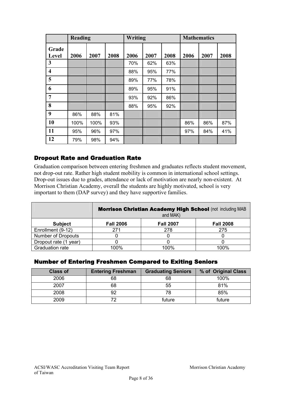|                         | <b>Reading</b> |      |      | Writing |      |      | <b>Mathematics</b> |      |      |
|-------------------------|----------------|------|------|---------|------|------|--------------------|------|------|
| Grade<br>Level          | 2006           | 2007 | 2008 | 2006    | 2007 | 2008 | 2006               | 2007 | 2008 |
| 3                       |                |      |      | 70%     | 62%  | 63%  |                    |      |      |
| $\overline{\mathbf{4}}$ |                |      |      | 88%     | 95%  | 77%  |                    |      |      |
| 5                       |                |      |      | 89%     | 77%  | 78%  |                    |      |      |
| 6                       |                |      |      | 89%     | 95%  | 91%  |                    |      |      |
| 7                       |                |      |      | 93%     | 92%  | 86%  |                    |      |      |
| 8                       |                |      |      | 88%     | 95%  | 92%  |                    |      |      |
| 9                       | 86%            | 88%  | 81%  |         |      |      |                    |      |      |
| 10                      | 100%           | 100% | 93%  |         |      |      | 86%                | 86%  | 87%  |
| 11                      | 95%            | 96%  | 97%  |         |      |      | 97%                | 84%  | 41%  |
| 12                      | 79%            | 98%  | 94%  |         |      |      |                    |      |      |

#### Dropout Rate and Graduation Rate

Graduation comparison between entering freshmen and graduates reflects student movement, not drop-out rate. Rather high student mobility is common in international school settings. Drop-out issues due to grades, attendance or lack of motivation are nearly non-existent. At Morrison Christian Academy, overall the students are highly motivated, school is very important to them (DAP survey) and they have supportive families.

|                           | <b>Morrison Christian Academy High School (not including MAB</b><br>and MAK) |                  |                  |  |  |  |  |  |
|---------------------------|------------------------------------------------------------------------------|------------------|------------------|--|--|--|--|--|
| <b>Subject</b>            | <b>Fall 2006</b>                                                             | <b>Fall 2007</b> | <b>Fall 2008</b> |  |  |  |  |  |
| Enrollment (9-12)         | 271                                                                          | 278              | 275              |  |  |  |  |  |
| <b>Number of Dropouts</b> |                                                                              |                  |                  |  |  |  |  |  |
| Dropout rate (1 year)     |                                                                              |                  |                  |  |  |  |  |  |
| Graduation rate           | 100%                                                                         | 100%             | 100%             |  |  |  |  |  |

#### Number of Entering Freshmen Compared to Exiting Seniors

| <b>Class of</b> | <b>Entering Freshman</b> | <b>Graduating Seniors</b> | % of Original Class |
|-----------------|--------------------------|---------------------------|---------------------|
| 2006            | 68                       | 68                        | 100%                |
| 2007            | 68                       | 55                        | 81%                 |
| 2008            | 92                       | 78                        | 85%                 |
| 2009            | 70                       | future                    | future              |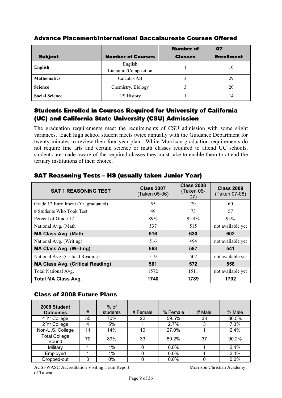|                       |                          | <b>Number of</b> | 07                |  |
|-----------------------|--------------------------|------------------|-------------------|--|
| <b>Subject</b>        | <b>Number of Courses</b> | <b>Classes</b>   | <b>Enrollment</b> |  |
| English               | English                  |                  | 10                |  |
|                       | Literature/Composition   |                  |                   |  |
| <b>Mathematics</b>    | Calculus AB              |                  | 29                |  |
| <b>Science</b>        | Chemistry, Biology       |                  | 20                |  |
| <b>Social Science</b> | <b>US History</b>        |                  | 14                |  |

#### Advance Placement/International Baccalaureate Courses Offered

#### Students Enrolled in Courses Required for University of California (UC) and California State University (CSU) Admission

The graduation requirements meet the requirements of CSU admission with some slight variances. Each high school student meets twice annually with the Guidance Department for twenty minutes to review their four year plan. While Morrison graduation requirements do not require fine arts and certain science or math classes required to attend UC schools, students are made aware of the required classes they must take to enable them to attend the tertiary institutions of their choice.

| <b>SAT 1 REASONING TEST</b>             | <b>Class 2007</b><br>(Taken 05-06) | <b>Class 2008</b><br>(Taken 06-<br>(07) | <b>Class 2009</b><br>(Taken 07-08) |
|-----------------------------------------|------------------------------------|-----------------------------------------|------------------------------------|
| Grade 12 Enrollment (Yr. graduated)     | 55                                 | 79                                      | 60                                 |
| # Students Who Took Test                | 49                                 | 73                                      | 57                                 |
| Percent of Grade 12                     | 89%                                | 92.4%                                   | 95%                                |
| National Avg. (Math                     | 537                                | 515                                     | not available yet                  |
| <b>MA Class Avg. (Math</b>              | 616                                | 630                                     | 602                                |
| National Avg. (Writing)                 | 516                                | 494                                     | not available yet                  |
| <b>MA Class Avg. (Writing)</b>          | 563                                | 587                                     | 541                                |
| National Avg. (Critical Reading)        | 519                                | 502                                     | not available yet                  |
| <b>MA Class Avg. (Critical Reading)</b> | 561                                | 572                                     | 558                                |
| Total National Avg.                     | 1572                               | 1511                                    | not available yet                  |
| <b>Total MA Class Avg.</b>              | 1740                               | 1789                                    | 1702                               |

## SAT Reasoning Tests – HS (usually taken Junior Year)

#### Class of 2008 Future Plans

| 2008 Student                         |    | $%$ of   |          |          |        |         |
|--------------------------------------|----|----------|----------|----------|--------|---------|
| <b>Outcomes</b>                      | #  | students | # Female | % Female | # Male | % Male  |
| 4 Yr College                         | 55 | 70%      | 22       | 59.5%    | 33     | 80.5%   |
| 2 Yr College                         | 4  | 5%       |          | 2.7%     | 3      | 7.3%    |
| Non-U.S. College                     | 11 | 14%      | 10       | 27.0%    |        | 2.4%    |
| <b>Total College</b><br><b>Bound</b> | 70 | 89%      | 33       | 89.2%    | 37     | 90.2%   |
| Military                             |    | $1\%$    |          | $0.0\%$  |        | 2.4%    |
| Employed                             |    | $1\%$    |          | $0.0\%$  |        | 2.4%    |
| Dropped-out                          |    | 0%       |          | $0.0\%$  |        | $0.0\%$ |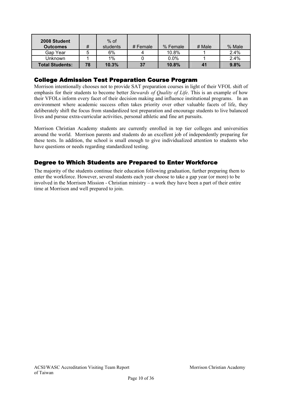| 2008 Student<br><b>Outcomes</b> |    | $%$ of<br>students | # Female | % Female | # Male | % Male |
|---------------------------------|----|--------------------|----------|----------|--------|--------|
| Gap Year                        |    | 6%                 |          | 10.8%    |        | 2.4%   |
| Unknown                         |    | 1%                 |          | 0.0%     |        | 2.4%   |
| <b>Total Students:</b>          | 78 | 10.3%              | 37       | 10.8%    | 4'     | 9.8%   |

#### College Admission Test Preparation Course Program

Morrison intentionally chooses not to provide SAT preparation courses in light of their VFOL shift of emphasis for their students to become better *Stewards of Quality of Life*. This is an example of how their VFOLs inform every facet of their decision making and influence institutional programs. In an environment where academic success often takes priority over other valuable facets of life, they deliberately shift the focus from standardized test preparation and encourage students to live balanced lives and pursue extra-curricular activities, personal athletic and fine art pursuits.

Morrison Christian Academy students are currently enrolled in top tier colleges and universities around the world. Morrison parents and students do an excellent job of independently preparing for these tests. In addition, the school is small enough to give individualized attention to students who have questions or needs regarding standardized testing.

#### Degree to Which Students are Prepared to Enter Workforce

The majority of the students continue their education following graduation, further preparing them to enter the workforce. However, several students each year choose to take a gap year (or more) to be involved in the Morrison Mission - Christian ministry – a work they have been a part of their entire time at Morrison and well prepared to join.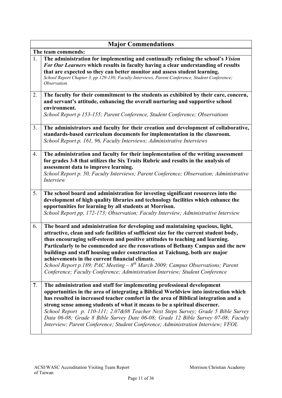|    | <b>Major Commendations</b>                                                                                                                                                                                                                                                                                                                                                                                                                                                                                                                                                                                                                      |  |
|----|-------------------------------------------------------------------------------------------------------------------------------------------------------------------------------------------------------------------------------------------------------------------------------------------------------------------------------------------------------------------------------------------------------------------------------------------------------------------------------------------------------------------------------------------------------------------------------------------------------------------------------------------------|--|
|    | The team commends:                                                                                                                                                                                                                                                                                                                                                                                                                                                                                                                                                                                                                              |  |
| 1. | The administration for implementing and continually refining the school's Vision<br>For Our Learners which results in faculty having a clear understanding of results<br>that are expected so they can better monitor and assess student learning.<br>School Report Chapter 3, pp 129-130; Faculty Interviews, Parent Conference, Student Conference;<br><i><b>Observation</b></i>                                                                                                                                                                                                                                                              |  |
| 2. | The faculty for their commitment to the students as exhibited by their care, concern,<br>and servant's attitude, enhancing the overall nurturing and supportive school<br>environment.<br>School Report p 153-155; Parent Conference, Student Conference; Observations                                                                                                                                                                                                                                                                                                                                                                          |  |
| 3. | The administrators and faculty for their creation and development of collaborative,<br>standards-based curriculum documents for implementation in the classroom.<br>School Report p. 161, 96, Faculty Interviews; Administrative Interviews                                                                                                                                                                                                                                                                                                                                                                                                     |  |
| 4. | The administration and faculty for their implementation of the writing assessment<br>for grades 3-8 that utilizes the Six Traits Rubric and results in the analysis of<br>assessment data to improve learning.<br>School Report p. 50, Faculty Interviews; Parent Conference; Observation; Administrative<br>Interview                                                                                                                                                                                                                                                                                                                          |  |
| 5. | The school board and administration for investing significant resources into the<br>development of high quality libraries and technology facilities which enhance the<br>opportunities for learning by all students at Morrison.<br>School Report pp, 172-173; Observation; Faculty Interview; Administrative Interview                                                                                                                                                                                                                                                                                                                         |  |
| 6. | The board and administration for developing and maintaining spacious, light,<br>attractive, clean and safe facilities of sufficient size for the current student body,<br>thus encouraging self-esteem and positive attitudes to teaching and learning.<br>Particularly to be commended are the renovations of Bethany Campus and the new<br>buildings and staff housing under construction at Taichung, both are major<br>achievements in the current financial climate.<br>School Report p.189; PAC Meeting $-8^{th}$ March 2009; Campus Observations; Parent<br>Conference; Faculty Conference; Administration Interview; Student Conference |  |
| 7. | The administration and staff for implementing professional development<br>opportunities in the area of integrating a Biblical Worldview into instruction which<br>has resulted in increased teacher comfort in the area of Biblical integration and a<br>strong sense among students of what it means to be a spiritual discerner.<br>School Report p. 110-111; 2.07&08 Teacher Next Steps Survey; Grade 5 Bible Survey<br>Data 06-08; Grade 8 Bible Survey Date 06-08; Grade 12 Bible Survey 07-08; Faculty<br>Interview; Parent Conference; Student Conference; Administration Interview; VFOL                                                |  |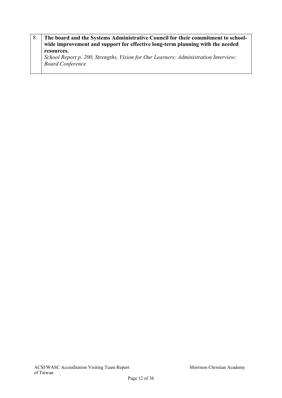| The board and the Systems Administrative Council for their commitment to school-<br>wide improvement and support for effective long-term planning with the needed |
|-------------------------------------------------------------------------------------------------------------------------------------------------------------------|
| resources.<br>School Report p. 200, Strengths, Vision for Our Learners; Administration Interview;<br><b>Board Conference</b>                                      |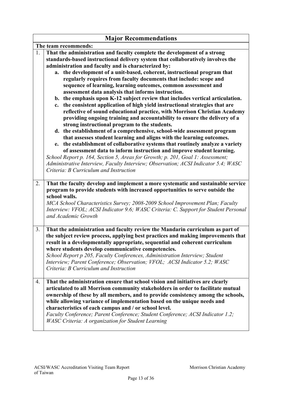|    | <b>Major Recommendations</b>                                                                                                                                                                                                                                                                                                                                                                                                                                                                                                                                                                                                                                                                                                                                                                                                                                                                                                                                                                                                                                                                                                                                                                                                                                                                                                                  |
|----|-----------------------------------------------------------------------------------------------------------------------------------------------------------------------------------------------------------------------------------------------------------------------------------------------------------------------------------------------------------------------------------------------------------------------------------------------------------------------------------------------------------------------------------------------------------------------------------------------------------------------------------------------------------------------------------------------------------------------------------------------------------------------------------------------------------------------------------------------------------------------------------------------------------------------------------------------------------------------------------------------------------------------------------------------------------------------------------------------------------------------------------------------------------------------------------------------------------------------------------------------------------------------------------------------------------------------------------------------|
| 1. | The team recommends:<br>That the administration and faculty complete the development of a strong                                                                                                                                                                                                                                                                                                                                                                                                                                                                                                                                                                                                                                                                                                                                                                                                                                                                                                                                                                                                                                                                                                                                                                                                                                              |
|    | standards-based instructional delivery system that collaboratively involves the<br>administration and faculty and is characterized by:<br>a. the development of a unit-based, coherent, instructional program that<br>regularly requires from faculty documents that include: scope and<br>sequence of learning, learning outcomes, common assessment and<br>assessment data analysis that informs instruction.<br>b. the emphasis upon K-12 subject review that includes vertical articulation.<br>the consistent application of high yield instructional strategies that are<br>$c_{\cdot}$<br>reflective of sound educational practice, with Morrison Christian Academy<br>providing ongoing training and accountability to ensure the delivery of a<br>strong instructional program to the students.<br>d. the establishment of a comprehensive, school-wide assessment program<br>that assesses student learning and aligns with the learning outcomes.<br>the establishment of collaborative systems that routinely analyze a variety<br>e.<br>of assessment data to inform instruction and improve student learning.<br>School Report p. 164, Section 5, Areas for Growth; p. 201, Goal 1: Assessment;<br>Administrative Interview, Faculty Interview; Observation; ACSI Indicator 5.4; WASC<br>Criteria: B Curriculum and Instruction |
| 2. | That the faculty develop and implement a more systematic and sustainable service<br>program to provide students with increased opportunities to serve outside the<br>school walls.<br>MCA School Characteristics Survey; 2008-2009 School Improvement Plan; Faculty<br>Interview: VFOL; ACSI Indicator 9.6; WASC Criteria: C. Support for Student Personal<br>and Academic Growth                                                                                                                                                                                                                                                                                                                                                                                                                                                                                                                                                                                                                                                                                                                                                                                                                                                                                                                                                             |
| 3. | That the administration and faculty review the Mandarin curriculum as part of<br>the subject review process, applying best practices and making improvements that<br>result in a developmentally appropriate, sequential and coherent curriculum<br>where students develop communicative competencies.<br>School Report p 205, Faculty Conferences, Administration Interview; Student<br>Interview; Parent Conference; Observation; VFOL; ACSI Indicator 5.2; WASC<br>Criteria: B Curriculum and Instruction                                                                                                                                                                                                                                                                                                                                                                                                                                                                                                                                                                                                                                                                                                                                                                                                                                  |
| 4. | That the administration ensure that school vision and initiatives are clearly<br>articulated to all Morrison community stakeholders in order to facilitate mutual<br>ownership of these by all members, and to provide consistency among the schools,<br>while allowing variance of implementation based on the unique needs and<br>characteristics of each campus and / or school level.<br>Faculty Conference; Parent Conference; Student Conference; ACSI Indicator 1.2;<br><b>WASC Criteria: A organization for Student Learning</b>                                                                                                                                                                                                                                                                                                                                                                                                                                                                                                                                                                                                                                                                                                                                                                                                      |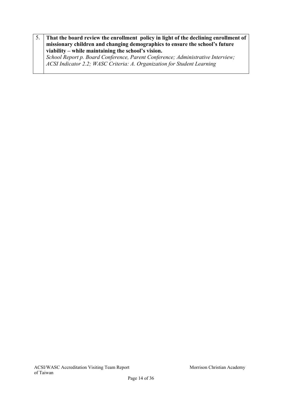5. **That the board review the enrollment policy in light of the declining enrollment of missionary children and changing demographics to ensure the school's future viability – while maintaining the school's vision.** 

*School Report p. Board Conference, Parent Conference; Administrative Interview; ACSI Indicator 2.2; WASC Criteria: A. Organization for Student Learning*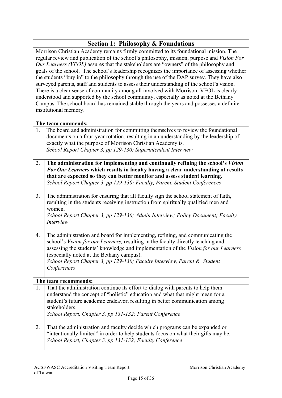## **Section 1: Philosophy & Foundations**  Morrison Christian Academy remains firmly committed to its foundational mission. The regular review and publication of the school's philosophy, mission, purpose and *Vision For Our Learners (VFOL)* assures that the stakeholders are "owners" of the philosophy and goals of the school. The school's leadership recognizes the importance of assessing whether the students "buy in" to the philosophy through the use of the DAP survey. They have also surveyed parents, staff and students to assess their understanding of the school's vision. There is a clear sense of community among all involved with Morrison. VFOL is clearly understood and supported by the school community, especially as noted at the Bethany Campus. The school board has remained stable through the years and possesses a definite institutional memory. **The team commends:**  1. The board and administration for committing themselves to review the foundational documents on a four-year rotation, resulting in an understanding by the leadership of exactly what the purpose of Morrison Christian Academy is. *School Report Chapter 3, pp 129-130; Superintendent Interview*  2. **The administration for implementing and continually refining the school's** *Vision For Our Learners* **which results in faculty having a clear understanding of results that are expected so they can better monitor and assess student learning.**  *School Report Chapter 3, pp 129-130; Faculty, Parent, Student Conferences*

3. The administration for ensuring that all faculty sign the school statement of faith, resulting in the students receiving instruction from spiritually qualified men and women.

*School Report Chapter 3, pp 129-130; Admin Interview; Policy Document; Faculty Interview* 

4. The administration and board for implementing, refining, and communicating the school's *Vision for our Learners,* resulting in the faculty directly teaching and assessing the students' knowledge and implementation of the *Vision for our Learners*  (especially noted at the Bethany campus). *School Report Chapter 3, pp 129-130; Faculty Interview, Parent & Student Conferences* 

#### **The team recommends:**

- 1. That the administration continue its effort to dialog with parents to help them understand the concept of "holistic" education and what that might mean for a student's future academic endeavor, resulting in better communication among stakeholders. *School Report, Chapter 3, pp 131-132; Parent Conference*  2. That the administration and faculty decide which programs can be expanded or "intentionally limited" in order to help students focus on what their gifts may be.
	- *School Report, Chapter 3, pp 131-132; Faculty Conference*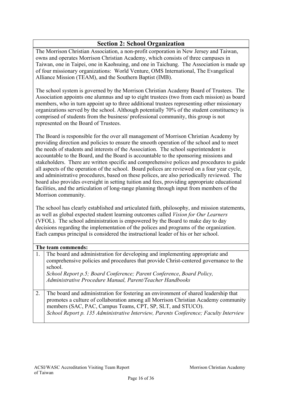### **Section 2: School Organization**

The Morrison Christian Association, a non-profit corporation in New Jersey and Taiwan, owns and operates Morrison Christian Academy, which consists of three campuses in Taiwan, one in Taipei, one in Kaohsuing, and one in Taichung. The Association is made up of four missionary organizations: World Venture, OMS International, The Evangelical Alliance Mission (TEAM), and the Southern Baptist (IMB).

The school system is governed by the Morrison Christian Academy Board of Trustees. The Association appoints one alumnus and up to eight trustees (two from each mission) as board members, who in turn appoint up to three additional trustees representing other missionary organizations served by the school. Although potentially 70% of the student constituency is comprised of students from the business/ professional community, this group is not represented on the Board of Trustees.

The Board is responsible for the over all management of Morrison Christian Academy by providing direction and policies to ensure the smooth operation of the school and to meet the needs of students and interests of the Association. The school superintendent is accountable to the Board, and the Board is accountable to the sponsoring missions and stakeholders. There are written specific and comprehensive polices and procedures to guide all aspects of the operation of the school. Board polices are reviewed on a four year cycle, and administrative procedures, based on these polices, are also periodically reviewed. The board also provides oversight in setting tuition and fees, providing appropriate educational facilities, and the articulation of long-range planning through input from members of the Morrison community.

The school has clearly established and articulated faith, philosophy, and mission statements, as well as global expected student learning outcomes called *Vision for Our Learners* (VFOL). The school administration is empowered by the Board to make day to day decisions regarding the implementation of the polices and programs of the organization. Each campus principal is considered the instructional leader of his or her school.

#### **The team commends:**

1. The board and administration for developing and implementing appropriate and comprehensive policies and procedures that provide Christ-centered governance to the school. *School Report p.5; Board Conference; Parent Conference*, *Board Policy,* 

*Administrative Procedure Manual, Parent/Teacher Handbooks* 

2. The board and administration for fostering an environment of shared leadership that promotes a culture of collaboration among all Morrison Christian Academy community members (SAC, PAC, Campus Teams, CPT, SP, SLT, and STUCO). *School Report p. 135 Administrative Interview, Parents Conference; Faculty Interview*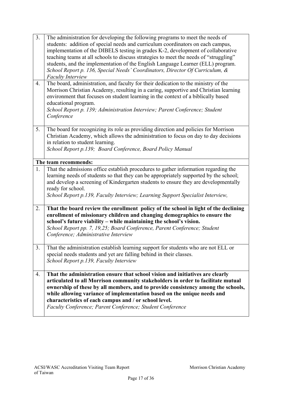| 3 <sub>1</sub><br>4. | The administration for developing the following programs to meet the needs of<br>students: addition of special needs and curriculum coordinators on each campus,<br>implementation of the DIBELS testing in grades K-2, development of collaborative<br>teaching teams at all schools to discuss strategies to meet the needs of "struggling"<br>students, and the implementation of the English Language Learner (ELL) program.<br>School Report p. 136, Special Needs' Coordinators, Director Of Curriculum, &<br><b>Faculty Interview</b><br>The board, administration, and faculty for their dedication to the ministry of the<br>Morrison Christian Academy, resulting in a caring, supportive and Christian learning<br>environment that focuses on student learning in the context of a biblically based<br>educational program. |
|----------------------|-----------------------------------------------------------------------------------------------------------------------------------------------------------------------------------------------------------------------------------------------------------------------------------------------------------------------------------------------------------------------------------------------------------------------------------------------------------------------------------------------------------------------------------------------------------------------------------------------------------------------------------------------------------------------------------------------------------------------------------------------------------------------------------------------------------------------------------------|
|                      | School Report p. 139; Administration Interview; Parent Conference; Student<br>Conference                                                                                                                                                                                                                                                                                                                                                                                                                                                                                                                                                                                                                                                                                                                                                |
| 5.                   | The board for recognizing its role as providing direction and policies for Morrison<br>Christian Academy, which allows the administration to focus on day to day decisions<br>in relation to student learning.<br>School Report p.139; Board Conference, Board Policy Manual                                                                                                                                                                                                                                                                                                                                                                                                                                                                                                                                                            |
|                      | The team recommends:                                                                                                                                                                                                                                                                                                                                                                                                                                                                                                                                                                                                                                                                                                                                                                                                                    |
| 1 <sub>1</sub>       | That the admissions office establish procedures to gather information regarding the<br>learning needs of students so that they can be appropriately supported by the school;<br>and develop a screening of Kindergarten students to ensure they are developmentally<br>ready for school.<br>School Report p.139, Faculty Interview; Learning Support Specialist Interview,                                                                                                                                                                                                                                                                                                                                                                                                                                                              |
| 2.                   | That the board review the enrollment policy of the school in light of the declining<br>enrollment of missionary children and changing demographics to ensure the<br>school's future viability – while maintaining the school's vision.<br>School Report pp. 7, 19,25; Board Conference, Parent Conference; Student<br>Conference; Administrative Interview                                                                                                                                                                                                                                                                                                                                                                                                                                                                              |
| 3.                   | That the administration establish learning support for students who are not ELL or<br>special needs students and yet are falling behind in their classes.<br>School Report p.139, Faculty Interview                                                                                                                                                                                                                                                                                                                                                                                                                                                                                                                                                                                                                                     |
| 4.                   | That the administration ensure that school vision and initiatives are clearly<br>articulated to all Morrison community stakeholders in order to facilitate mutual<br>ownership of these by all members, and to provide consistency among the schools,<br>while allowing variance of implementation based on the unique needs and<br>characteristics of each campus and / or school level.<br>Faculty Conference; Parent Conference; Student Conference                                                                                                                                                                                                                                                                                                                                                                                  |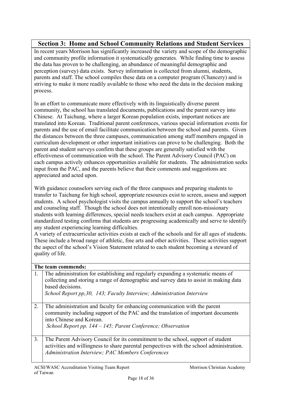# **Section 3: Home and School Community Relations and Student Services**

In recent years Morrison has significantly increased the variety and scope of the demographic and community profile information it systematically generates. While finding time to assess the data has proven to be challenging, an abundance of meaningful demographic and perception (survey) data exists. Survey information is collected from alumni, students, parents and staff. The school compiles these data on a computer program (Chancery) and is striving to make it more readily available to those who need the data in the decision making process.

In an effort to communicate more effectively with its linguistically diverse parent community, the school has translated documents, publications and the parent survey into Chinese. At Taichung, where a larger Korean population exists, important notices are translated into Korean. Traditional parent conferences, various special information events for parents and the use of email facilitate communication between the school and parents. Given the distances between the three campuses, communication among staff members engaged in curriculum development or other important initiatives can prove to be challenging. Both the parent and student surveys confirm that these groups are generally satisfied with the effectiveness of communication with the school. The Parent Advisory Council (PAC) on each campus actively enhances opportunities available for students. The administration seeks input from the PAC, and the parents believe that their comments and suggestions are appreciated and acted upon.

With guidance counselors serving each of the three campuses and preparing students to transfer to Taichung for high school, appropriate resources exist to screen, assess and support students. A school psychologist visits the campus annually to support the school's teachers and counseling staff. Though the school does not intentionally enroll non-missionary students with learning differences, special needs teachers exist at each campus. Appropriate standardized testing confirms that students are progressing academically and serve to identify any student experiencing learning difficulties.

A variety of extracurricular activities exists at each of the schools and for all ages of students. These include a broad range of athletic, fine arts and other activities. These activities support the aspect of the school's Vision Statement related to each student becoming a steward of quality of life.

|    | The team commends:                                                                                                                                                                                                                                                        |
|----|---------------------------------------------------------------------------------------------------------------------------------------------------------------------------------------------------------------------------------------------------------------------------|
| 1. | The administration for establishing and regularly expanding a systematic means of<br>collecting and storing a range of demographic and survey data to assist in making data<br>based decisions.<br>School Report pp, 30, 143; Faculty Interview; Administration Interview |
| 2. | The administration and faculty for enhancing communication with the parent<br>community including support of the PAC and the translation of important documents<br>into Chinese and Korean.<br>School Report pp. 144 – 145; Parent Conference; Observation                |
| 3. | The Parent Advisory Council for its commitment to the school, support of student<br>activities and willingness to share parental perspectives with the school administration.<br>Administration Interview; PAC Members Conferences                                        |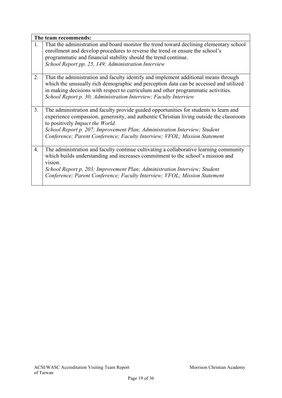|    | The team recommends:                                                                                                                                                                                                                                                                                                                                                          |
|----|-------------------------------------------------------------------------------------------------------------------------------------------------------------------------------------------------------------------------------------------------------------------------------------------------------------------------------------------------------------------------------|
| 1. | That the administration and board monitor the trend toward declining elementary school<br>enrollment and develop procedures to reverse the trend or ensure the school's<br>programmatic and financial stability should the trend continue.<br>School Report pp. 25, 149; Administration Interview                                                                             |
| 2. | That the administration and faculty identify and implement additional means through<br>which the unusually rich demographic and perception data can be accessed and utilized<br>in making decisions with respect to curriculum and other programmatic activities.<br>School Report p. 30; Administration Interview; Faculty Interview                                         |
| 3. | The administration and faculty provide guided opportunities for students to learn and<br>experience compassion, generosity, and authentic Christian living outside the classroom<br>to positively Impact the World.<br>School Report p. 207; Improvement Plan; Administration Interview; Student<br>Conference; Parent Conference; Faculty Interview; VFOL; Mission Statement |
| 4. | The administration and faculty continue cultivating a collaborative learning community<br>which builds understanding and increases commitment to the school's mission and<br>vision.<br>School Report p. 203; Improvement Plan; Administration Interview; Student<br>Conference; Parent Conference; Faculty Interview; VFOL; Mission Statement                                |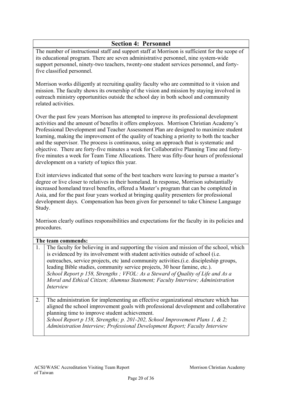#### **Section 4: Personnel**

The number of instructional staff and support staff at Morrison is sufficient for the scope of its educational program. There are seven administrative personnel, nine system-wide support personnel, ninety-two teachers, twenty-one student services personnel, and fortyfive classified personnel.

Morrison works diligently at recruiting quality faculty who are committed to it vision and mission. The faculty shows its ownership of the vision and mission by staying involved in outreach ministry opportunities outside the school day in both school and community related activities.

Over the past few years Morrison has attempted to improve its professional development activities and the amount of benefits it offers employees. Morrison Christian Academy's Professional Development and Teacher Assessment Plan are designed to maximize student learning, making the improvement of the quality of teaching a priority to both the teacher and the supervisor. The process is continuous, using an approach that is systematic and objective. There are forty-five minutes a week for Collaborative Planning Time and fortyfive minutes a week for Team Time Allocations. There was fifty-four hours of professional development on a variety of topics this year.

Exit interviews indicated that some of the best teachers were leaving to pursue a master's degree or live closer to relatives in their homeland. In response, Morrison substantially increased homeland travel benefits, offered a Master's program that can be completed in Asia, and for the past four years worked at bringing quality presenters for professional development days. Compensation has been given for personnel to take Chinese Language Study.

Morrison clearly outlines responsibilities and expectations for the faculty in its policies and procedures.

|             | The team commends:                                                                                                                                                                                                                                                                                                                                                                                                                                                                                                                           |  |
|-------------|----------------------------------------------------------------------------------------------------------------------------------------------------------------------------------------------------------------------------------------------------------------------------------------------------------------------------------------------------------------------------------------------------------------------------------------------------------------------------------------------------------------------------------------------|--|
| $1_{\cdot}$ | The faculty for believing in and supporting the vision and mission of the school, which<br>is evidenced by its involvement with student activities outside of school (i.e.<br>outreaches, service projects, etc ) and community activities ( <i>i.e.</i> discipleship groups,<br>leading Bible studies, community service projects, 30 hour famine, etc.).<br>School Report p 158, Strengths; VFOL: As a Steward of Quality of Life and As a<br>Moral and Ethical Citizen; Alumnus Statement; Faculty Interview; Administration<br>Interview |  |
| 2.          | The administration for implementing an effective organizational structure which has<br>aligned the school improvement goals with professional development and collaborative<br>planning time to improve student achievement.<br>School Report p 158, Strengths; p. 201-202, School Improvement Plans 1, & 2;<br>Administration Interview; Professional Development Report; Faculty Interview                                                                                                                                                 |  |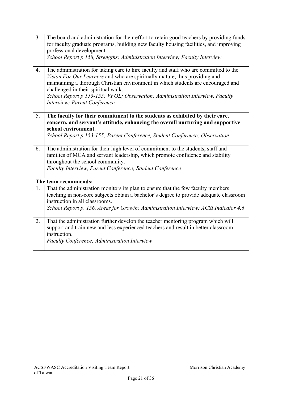| 3. | The board and administration for their effort to retain good teachers by providing funds<br>for faculty graduate programs, building new faculty housing facilities, and improving<br>professional development.<br>School Report p 158, Strengths; Administration Interview; Faculty Interview                                                                                                                    |
|----|------------------------------------------------------------------------------------------------------------------------------------------------------------------------------------------------------------------------------------------------------------------------------------------------------------------------------------------------------------------------------------------------------------------|
| 4. | The administration for taking care to hire faculty and staff who are committed to the<br>Vision For Our Learners and who are spiritually mature, thus providing and<br>maintaining a thorough Christian environment in which students are encouraged and<br>challenged in their spiritual walk.<br>School Report p 153-155; VFOL; Observation; Administration Interview, Faculty<br>Interview; Parent Conference |
| 5. | The faculty for their commitment to the students as exhibited by their care,<br>concern, and servant's attitude, enhancing the overall nurturing and supportive<br>school environment.<br>School Report p 153-155; Parent Conference, Student Conference; Observation                                                                                                                                            |
| 6. | The administration for their high level of commitment to the students, staff and<br>families of MCA and servant leadership, which promote confidence and stability<br>throughout the school community.<br>Faculty Interview, Parent Conference; Student Conference                                                                                                                                               |
|    | The team recommends:                                                                                                                                                                                                                                                                                                                                                                                             |
| 1. | That the administration monitors its plan to ensure that the few faculty members<br>teaching in non-core subjects obtain a bachelor's degree to provide adequate classroom<br>instruction in all classrooms.<br>School Report p. 156, Areas for Growth; Administration Interview; ACSI Indicator 4.6                                                                                                             |
| 2. | That the administration further develop the teacher mentoring program which will<br>support and train new and less experienced teachers and result in better classroom<br>instruction.<br>Faculty Conference; Administration Interview                                                                                                                                                                           |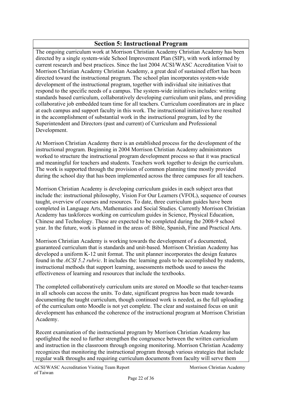## **Section 5: Instructional Program**

The ongoing curriculum work at Morrison Christian Academy Christian Academy has been directed by a single system-wide School Improvement Plan (SIP), with work informed by current research and best practices. Since the last 2004 ACSI/WASC Accreditation Visit to Morrison Christian Academy Christian Academy, a great deal of sustained effort has been directed toward the instructional program. The school plan incorporates system-wide development of the instructional program, together with individual site initiatives that respond to the specific needs of a campus. The system-wide initiatives includes: writing standards based curriculum, collaboratively developing curriculum unit plans, and providing collaborative job embedded team time for all teachers. Curriculum coordinators are in place at each campus and support faculty in this work. The instructional initiatives have resulted in the accomplishment of substantial work in the instructional program, led by the Superintendent and Directors (past and current) of Curriculum and Professional Development.

At Morrison Christian Academy there is an established process for the development of the instructional program. Beginning in 2004 Morrison Christian Academy administrators worked to structure the instructional program development process so that it was practical and meaningful for teachers and students. Teachers work together to design the curriculum. The work is supported through the provision of common planning time mostly provided during the school day that has been implemented across the three campuses for all teachers.

Morrison Christian Academy is developing curriculum guides in each subject area that include the: instructional philosophy, Vision For Our Learners (VFOL), sequence of courses taught, overview of courses and resources. To date, three curriculum guides have been completed in Language Arts, Mathematics and Social Studies. Currently Morrison Christian Academy has taskforces working on curriculum guides in Science, Physical Education, Chinese and Technology. These are expected to be completed during the 2008-9 school year. In the future, work is planned in the areas of: Bible, Spanish, Fine and Practical Arts.

Morrison Christian Academy is working towards the development of a documented, guaranteed curriculum that is standards and unit-based. Morrison Christian Academy has developed a uniform K-12 unit format. The unit planner incorporates the design features found in the *ACSI 5.2 rubric*. It includes the: learning goals to be accomplished by students, instructional methods that support learning, assessments methods used to assess the effectiveness of learning and resources that include the textbooks.

The completed collaboratively curriculum units are stored on Moodle so that teacher-teams in all schools can access the units. To date, significant progress has been made towards documenting the taught curriculum, though continued work is needed, as the full uploading of the curriculum onto Moodle is not yet complete. The clear and sustained focus on unit development has enhanced the coherence of the instructional program at Morrison Christian Academy.

Recent examination of the instructional program by Morrison Christian Academy has spotlighted the need to further strengthen the congruence between the written curriculum and instruction in the classroom through ongoing monitoring. Morrison Christian Academy recognizes that monitoring the instructional program through various strategies that include regular walk throughs and requiring curriculum documents from faculty will serve them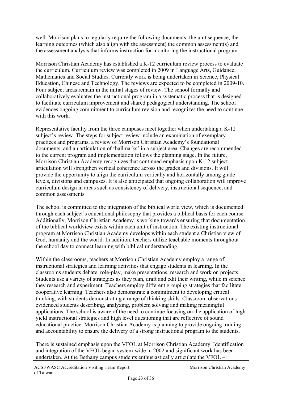well. Morrison plans to regularly require the following documents: the unit sequence, the learning outcomes (which also align with the assessment) the common assessment(s) and the assessment analysis that informs instruction for monitoring the instructional program.

Morrison Christian Academy has established a K-12 curriculum review process to evaluate the curriculum. Curriculum review was completed in 2009 in Language Arts, Guidance, Mathematics and Social Studies. Currently work is being undertaken in Science, Physical Education, Chinese and Technology. The reviews are expected to be completed in 2009-10. Four subject areas remain in the initial stages of review. The school formally and collaboratively evaluates the instructional program in a systematic process that is designed to facilitate curriculum improvement and shared pedagogical understanding. The school evidences ongoing commitment to curriculum revision and recognizes the need to continue with this work.

Representative faculty from the three campuses meet together when undertaking a K-12 subject's review. The steps for subject review include an examination of exemplary practices and programs, a review of Morrison Christian Academy's foundational documents, and an articulation of 'hallmarks' in a subject area. Changes are recommended to the current program and implementation follows the planning stage. In the future, Morrison Christian Academy recognizes that continued emphasis upon K-12 subject articulation will strengthen vertical coherence across the grades and divisions. It will provide the opportunity to align the curriculum vertically and horizontally among grade levels, divisions and campuses. It is also anticipated that ongoing collaboration will improve curriculum design in areas such as consistency of delivery, instructional sequence, and common assessments

The school is committed to the integration of the biblical world view, which is documented through each subject's educational philosophy that provides a biblical basis for each course. Additionally, Morrison Christian Academy is working towards ensuring that documentation of the biblical worldview exists within each unit of instruction. The existing instructional program at Morrison Christian Academy develops within each student a Christian view of God, humanity and the world. In addition, teachers utilize teachable moments throughout the school day to connect learning with biblical understanding.

Within the classrooms, teachers at Morrison Christian Academy employ a range of instructional strategies and learning activities that engage students in learning. In the classrooms students debate, role-play, make presentations, research and work on projects. Students use a variety of strategies as they plan, draft and edit their writing, while in science they research and experiment. Teachers employ different grouping strategies that facilitate cooperative learning. Teachers also demonstrate a commitment to developing critical thinking, with students demonstrating a range of thinking skills. Classroom observations evidenced students describing, analyzing, problem solving and making meaningful applications. The school is aware of the need to continue focusing on the application of high yield instructional strategies and high level questioning that are reflective of sound educational practice. Morrison Christian Academy is planning to provide ongoing training and accountability to ensure the delivery of a strong instructional program to the students.

There is sustained emphasis upon the VFOL at Morrison Christian Academy. Identification and integration of the VFOL began system-wide in 2002 and significant work has been undertaken. At the Bethany campus students enthusiastically articulate the VFOL –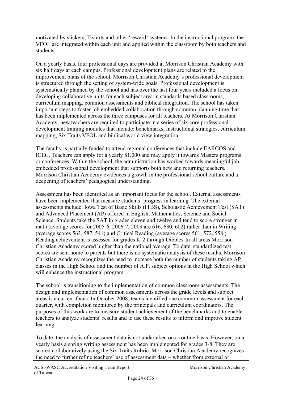motivated by stickers, T shirts and other 'reward' systems. In the instructional program, the VFOL are integrated within each unit and applied within the classroom by both teachers and students.

On a yearly basis, four professional days are provided at Morrison Christian Academy with six half days at each campus. Professional development plans are related to the improvement plans of the school. Morrison Christian Academy's professional development is structured through the setting of system-wide goals. Professional development is systematically planned by the school and has over the last four years included a focus on: developing collaborative units for each subject area in standards based classrooms, curriculum mapping, common assessments and biblical integration. The school has taken important steps to foster job embedded collaboration through common planning time that has been implemented across the three campuses for all teachers. At Morrison Christian Academy, new teachers are required to participate in a series of six core professional development training modules that include: benchmarks, instructional strategies, curriculum mapping, Six Traits VFOL and biblical world view integration.

The faculty is partially funded to attend regional conferences that include EARCOS and ICEC. Teachers can apply for a yearly \$1,000 and may apply it towards Masters programs or conferences. Within the school, the administration has worked towards meaningful job embedded professional development that supports both new and returning teachers. Morrison Christian Academy evidences a growth in the professional school culture and a deepening of teachers' pedagogical understanding.

Assessment has been identified as an important focus for the school. External assessments have been implemented that measure students' progress in learning. The external assessments include: Iowa Test of Basic Skills (ITBS), Scholastic Achievement Test (SAT) and Advanced Placement (AP) offered in English, Mathematics, Science and Social Science. Students take the SAT in grades eleven and twelve and tend to score stronger in math (average scores for 2005-6, 2006-7, 2009 are 616, 630, 602) rather than in Writing (average scores 563, 587, 541) and Critical Reading (average scores 561, 572, 558.) Reading achievement is assessed for grades K-2 through Dibbles In all areas Morrison Christian Academy scored higher than the national average. To date, standardized test scores are sent home to parents but there is no systematic analysis of these results. Morrison Christian Academy recognizes the need to increase both the number of students taking AP classes in the High School and the number of A.P. subject options in the High School which will enhance the instructional program.

The school is transitioning to the implementation of common classroom assessments. The design and implementation of common assessments across the grade levels and subject areas is a current focus. In October 2008, teams identified one common assessment for each quarter, with completion monitored by the principals and curriculum coordinators. The purposes of this work are to measure student achievement of the benchmarks and to enable teachers to analyze students' results and to use these results to inform and improve student learning.

To date, the analysis of assessment data is not undertaken on a routine basis. However, on a yearly basis a spring writing assessment has been implemented for grades 3-8. They are scored collaboratively using the Six Traits Rubric. Morrison Christian Academy recognizes the need to further refine teachers' use of assessment data – whether from external or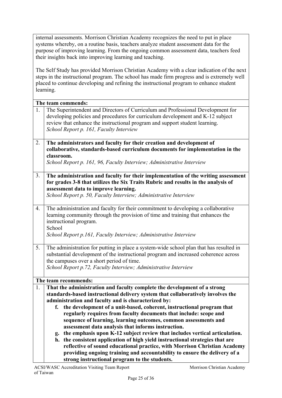internal assessments. Morrison Christian Academy recognizes the need to put in place systems whereby, on a routine basis, teachers analyze student assessment data for the purpose of improving learning. From the ongoing common assessment data, teachers feed their insights back into improving learning and teaching. The Self Study has provided Morrison Christian Academy with a clear indication of the next steps in the instructional program. The school has made firm progress and is extremely well placed to continue developing and refining the instructional program to enhance student learning. **The team commends:**  1. The Superintendent and Directors of Curriculum and Professional Development for developing policies and procedures for curriculum development and K-12 subject review that enhance the instructional program and support student learning. *School Report p. 161, Faculty Interview*  2. **The administrators and faculty for their creation and development of collaborative, standards-based curriculum documents for implementation in the classroom.**  *School Report p. 161, 96, Faculty Interview; Administrative Interview*  3. **The administration and faculty for their implementation of the writing assessment for grades 3-8 that utilizes the Six Traits Rubric and results in the analysis of assessment data to improve learning.**  *School Report p. 50, Faculty Interview; Administrative Interview*  4. The administration and faculty for their commitment to developing a collaborative learning community through the provision of time and training that enhances the instructional program. School *School Report p.161, Faculty Interview; Administrative Interview*  5. The administration for putting in place a system-wide school plan that has resulted in substantial development of the instructional program and increased coherence across the campuses over a short period of time. *School Report p.72, Faculty Interview; Administrative Interview*  **The team recommends:** 1. **That the administration and faculty complete the development of a strong standards-based instructional delivery system that collaboratively involves the administration and faculty and is characterized by: f. the development of a unit-based, coherent, instructional program that regularly requires from faculty documents that include: scope and sequence of learning, learning outcomes, common assessments and assessment data analysis that informs instruction. g. the emphasis upon K-12 subject review that includes vertical articulation. h. the consistent application of high yield instructional strategies that are reflective of sound educational practice, with Morrison Christian Academy providing ongoing training and accountability to ensure the delivery of a strong instructional program to the students.**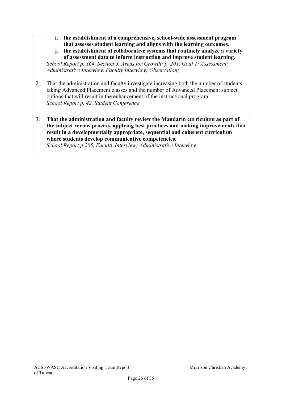|    | the establishment of a comprehensive, school-wide assessment program<br>i.<br>that assesses student learning and aligns with the learning outcomes.<br>the establishment of collaborative systems that routinely analyze a variety<br>j.<br>of assessment data to inform instruction and improve student learning.<br>School Report p. 164, Section 5, Areas for Growth; p. 201, Goal 1: Assessment;<br>Administrative Interview, Faculty Interview; Observation; |
|----|-------------------------------------------------------------------------------------------------------------------------------------------------------------------------------------------------------------------------------------------------------------------------------------------------------------------------------------------------------------------------------------------------------------------------------------------------------------------|
| 2. | That the administration and faculty investigate increasing both the number of students<br>taking Advanced Placement classes and the number of Advanced Placement subject<br>options that will result in the enhancement of the instructional program.<br>School Report p. 42, Student Conference                                                                                                                                                                  |
| 3. | That the administration and faculty review the Mandarin curriculum as part of<br>the subject review process, applying best practices and making improvements that<br>result in a developmentally appropriate, sequential and coherent curriculum<br>where students develop communicative competencies.<br>School Report p 205, Faculty Interview; Administrative Interview                                                                                        |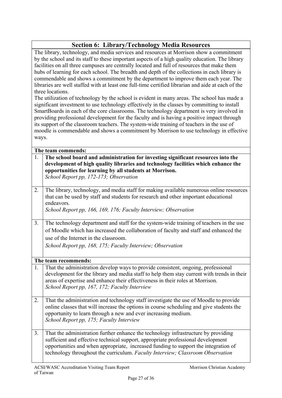# **Section 6: Library/Technology Media Resources**

The library, technology, and media services and resources at Morrison show a commitment by the school and its staff to these important aspects of a high quality education. The library facilities on all three campuses are centrally located and full of resources that make them hubs of learning for each school. The breadth and depth of the collections in each library is commendable and shows a commitment by the department to improve them each year. The libraries are well staffed with at least one full-time certified librarian and aide at each of the three locations.

The utilization of technology by the school is evident in many areas. The school has made a significant investment to use technology effectively in the classes by committing to install SmartBoards in each of the core classrooms. The technology department is very involved in providing professional development for the faculty and is having a positive impact through its support of the classroom teachers. The system-wide training of teachers in the use of moodle is commendable and shows a commitment by Morrison to use technology in effective ways.

|    | The team commends:                                                                                                                                                                                                                                                                                                                              |
|----|-------------------------------------------------------------------------------------------------------------------------------------------------------------------------------------------------------------------------------------------------------------------------------------------------------------------------------------------------|
| 1. | The school board and administration for investing significant resources into the<br>development of high quality libraries and technology facilities which enhance the<br>opportunities for learning by all students at Morrison.<br>School Report pp, 172-173; Observation                                                                      |
| 2. | The library, technology, and media staff for making available numerous online resources<br>that can be used by staff and students for research and other important educational<br>endeavors.<br>School Report pp, 166, 169, 176; Faculty Interview; Observation                                                                                 |
| 3. | The technology department and staff for the system-wide training of teachers in the use<br>of Moodle which has increased the collaboration of faculty and staff and enhanced the<br>use of the Internet in the classroom.<br>School Report pp, 168, 175; Faculty Interview; Observation                                                         |
|    | The team recommends:                                                                                                                                                                                                                                                                                                                            |
| 1. | That the administration develop ways to provide consistent, ongoing, professional<br>development for the library and media staff to help them stay current with trends in their<br>areas of expertise and enhance their effectiveness in their roles at Morrison.<br>School Report pp, 167, 172; Faculty Interview                              |
| 2. | That the administration and technology staff investigate the use of Moodle to provide<br>online classes that will increase the options in course scheduling and give students the<br>opportunity to learn through a new and ever increasing medium.<br>School Report pp, 175; Faculty Interview                                                 |
| 3. | That the administration further enhance the technology infrastructure by providing<br>sufficient and effective technical support, appropriate professional development<br>opportunities and when appropriate, increased funding to support the integration of<br>technology throughout the curriculum. Faculty Interview; Classroom Observation |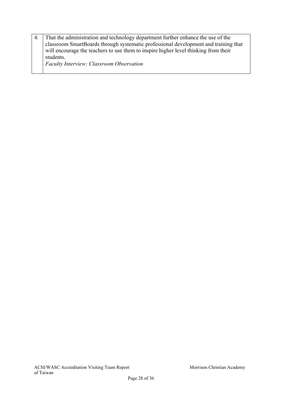| 4. | That the administration and technology department further enhance the use of the                                                                                           |
|----|----------------------------------------------------------------------------------------------------------------------------------------------------------------------------|
|    | classroom SmartBoards through systematic professional development and training that<br>will encourage the teachers to use them to inspire higher level thinking from their |
|    | students.                                                                                                                                                                  |
|    | Faculty Interview; Classroom Observation                                                                                                                                   |
|    |                                                                                                                                                                            |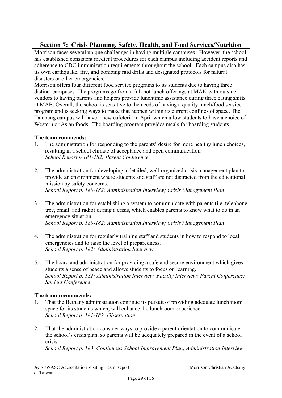# **Section 7: Crisis Planning, Safety, Health, and Food Services/Nutrition**

Morrison faces several unique challenges in having multiple campuses. However, the school has established consistent medical procedures for each campus including accident reports and adherence to CDC immunization requirements throughout the school. Each campus also has its own earthquake, fire, and bombing raid drills and designated protocols for natural disasters or other emergencies.

Morrison offers four different food service programs to its students due to having three distinct campuses. The programs go from a full hot lunch offerings at MAK with outside vendors to having parents and helpers provide lunchtime assistance during three eating shifts at MAB. Overall, the school is sensitive to the needs of having a quality lunch/food service program and is seeking ways to make that happen within its current confines of space. The Taichung campus will have a new cafeteria in April which allow students to have a choice of Western or Asian foods. The boarding program provides meals for boarding students.

|                | The team commends:                                                                                                                                                                                                                                                                             |  |
|----------------|------------------------------------------------------------------------------------------------------------------------------------------------------------------------------------------------------------------------------------------------------------------------------------------------|--|
| 1.             | The administration for responding to the parents' desire for more healthy lunch choices,<br>resulting in a school climate of acceptance and open communication.                                                                                                                                |  |
|                | School Report p.181-182; Parent Conference                                                                                                                                                                                                                                                     |  |
| 2.             | The administration for developing a detailed, well-organized crisis management plan to<br>provide an environment where students and staff are not distracted from the educational<br>mission by safety concerns.<br>School Report p. 180-182; Administration Interview; Crisis Management Plan |  |
| 3 <sub>1</sub> | The administration for establishing a system to communicate with parents (i.e. telephone<br>tree, email, and radio) during a crisis, which enables parents to know what to do in an<br>emergency situation.<br>School Report p. 180-182; Administration Interview; Crisis Management Plan      |  |
| 4.             | The administration for regularly training staff and students in how to respond to local<br>emergencies and to raise the level of preparedness.<br>School Report p. 182; Administration Interview                                                                                               |  |
| 5.             | The board and administration for providing a safe and secure environment which gives<br>students a sense of peace and allows students to focus on learning.<br>School Report p. 182; Administration Interview, Faculty Interview; Parent Conference;<br><b>Student Conference</b>              |  |
|                | The team recommends:                                                                                                                                                                                                                                                                           |  |
| 1.             | That the Bethany administration continue its pursuit of providing adequate lunch room<br>space for its students which, will enhance the lunchroom experience.<br>School Report p. 181-182; Observation                                                                                         |  |
| 2.             | That the administration consider ways to provide a parent orientation to communicate<br>the school's crisis plan, so parents will be adequately prepared in the event of a school<br>crisis.<br>School Report p. 183, Continuous School Improvement Plan; Administration Interview             |  |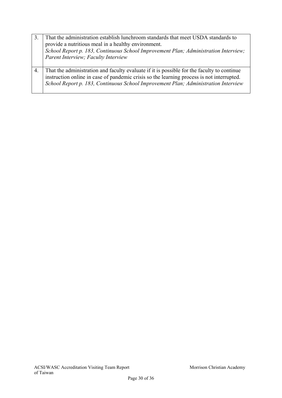| 3  | That the administration establish lunchroom standards that meet USDA standards to<br>provide a nutritious meal in a healthy environment.<br>School Report p. 183, Continuous School Improvement Plan; Administration Interview;<br>Parent Interview; Faculty Interview        |
|----|-------------------------------------------------------------------------------------------------------------------------------------------------------------------------------------------------------------------------------------------------------------------------------|
| 4. | That the administration and faculty evaluate if it is possible for the faculty to continue<br>instruction online in case of pandemic crisis so the learning process is not interrupted.<br>School Report p. 183, Continuous School Improvement Plan; Administration Interview |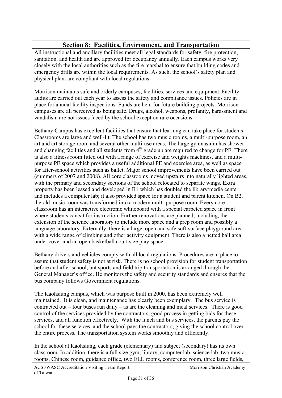# **Section 8: Facilities, Environment, and Transportation**

All instructional and ancillary facilities meet all legal standards for safety, fire protection, sanitation, and health and are approved for occupancy annually. Each campus works very closely with the local authorities such as the fire marshal to ensure that building codes and emergency drills are within the local requirements. As such, the school's safety plan and physical plant are compliant with local regulations.

Morrison maintains safe and orderly campuses, facilities, services and equipment. Facility audits are carried out each year to assess the safety and compliance issues. Policies are in place for annual facility inspections. Funds are held for future building projects. Morrison campuses are all perceived as being safe. Drugs, alcohol, weapons, profanity, harassment and vandalism are not issues faced by the school except on rare occasions.

Bethany Campus has excellent facilities that ensure that learning can take place for students. Classrooms are large and well-lit. The school has two music rooms, a multi-purpose room, an art and art storage room and several other multi-use areas. The large gymnasium has shower and changing facilities and all students from  $4<sup>th</sup>$  grade up are required to change for PE. There is also a fitness room fitted out with a range of exercise and weights machines, and a multipurpose PE space which provides a useful additional PE and exercise area, as well as space for after-school activities such as ballet. Major school improvements have been carried out (summers of 2007 and 2008). All core classrooms moved upstairs into naturally lighted areas, with the primary and secondary sections of the school relocated to separate wings. Extra property has been leased and developed in B1 which has doubled the library/media center and includes a computer lab; it also provided space for a student and parent kitchen. On B2, the old music room was transformed into a modern multi-purpose room. Every core classroom has an interactive electronic whiteboard with a special carpeted space in front where students can sit for instruction. Further renovations are planned, including, the extension of the science laboratory to include more space and a prep room and possibly a language laboratory. Externally, there is a large, open and safe soft-surface playground area with a wide range of climbing and other activity equipment. There is also a netted ball area under cover and an open basketball court size play space.

Bethany drivers and vehicles comply with all local regulations. Procedures are in place to assure that student safety is not at risk. There is no school provision for student transportation before and after school, but sports and field trip transportation is arranged through the General Manager's office. He monitors the safety and security standards and ensures that the bus company follows Government regulations.

The Kaohsiung campus, which was purpose built in 2000, has been extremely well maintained. It is clean, and maintenance has clearly been exemplary. The bus service is contracted out – four buses run daily – as are the cleaning and meal services. There is good control of the services provided by the contractors, good process in getting bids for these services, and all function effectively. With the lunch and bus services, the parents pay the school for these services, and the school pays the contractors, giving the school control over the entire process. The transportation system works smoothly and efficiently.

In the school at Kaohsiung, each grade (elementary) and subject (secondary) has its own classroom. In addition, there is a full size gym, library, computer lab, science lab, two music rooms, Chinese room, guidance office, two ELL rooms, conference room, three large fields,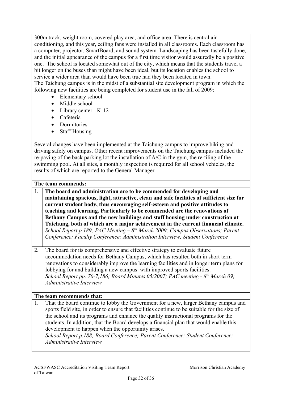300m track, weight room, covered play area, and office area. There is central airconditioning, and this year, ceiling fans were installed in all classrooms. Each classroom has a computer, projector, SmartBoard, and sound system. Landscaping has been tastefully done, and the initial appearance of the campus for a first time visitor would assuredly be a positive one. The school is located somewhat out of the city, which means that the students travel a bit longer on the buses than might have been ideal, but its location enables the school to service a wider area than would have been true had they been located in town. The Taichung campus is in the midst of a substantial site development program in which the following new facilities are being completed for student use in the fall of 2009:

- Elementary school
- Middle school
- Library center K-12
- Cafeteria
- Dormitories
- Staff Housing

Several changes have been implemented at the Taichung campus to improve biking and driving safely on campus. Other recent improvements on the Taichung campus included the re-paving of the back parking lot the installation of A/C in the gym, the re-tiling of the swimming pool. At all sites, a monthly inspection is required for all school vehicles, the results of which are reported to the General Manager*.* 

#### **The team commends:**

1. **The board and administration are to be commended for developing and maintaining spacious, light, attractive, clean and safe facilities of sufficient size for current student body, thus encouraging self-esteem and positive attitudes to teaching and learning. Particularly to be commended are the renovations of Bethany Campus and the new buildings and staff housing under construction at Taichung, both of which are a major achievement in the current financial climate.**  *School Report p.189; PAC Meeting – 8th March 2009; Campus Observations; Parent Conference; Faculty Conference; Administration Interview; Student Conference*

2. The board for its comprehensive and effective strategy to evaluate future accommodation needs for Bethany Campus, which has resulted both in short term renovations to considerably improve the learning facilities and in longer term plans for lobbying for and building a new campus with improved sports facilities. *School Report pp. 70-7,186; Board Minutes 05/2007; PAC meeting - 8th March 09; Administrative Interview* 

#### **The team recommends that:**

1. That the board continue to lobby the Government for a new, larger Bethany campus and sports field site, in order to ensure that facilities continue to be suitable for the size of the school and its programs and enhance the quality instructional programs for the students. In addition, that the Board develops a financial plan that would enable this development to happen when the opportunity arises. *School Report p.188; Board Conference; Parent Conference; Student Conference; Administrative Interview*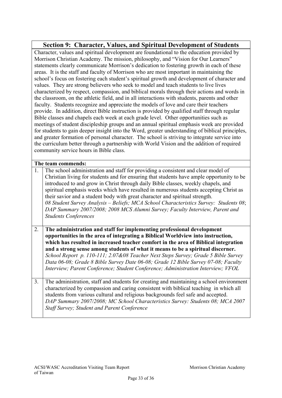#### **Section 9: Character, Values, and Spiritual Development of Students**

Character, values and spiritual development are foundational to the education provided by Morrison Christian Academy. The mission, philosophy, and "Vision for Our Learners" statements clearly communicate Morrison's dedication to fostering growth in each of these areas. It is the staff and faculty of Morrison who are most important in maintaining the school's focus on fostering each student's spiritual growth and development of character and values. They are strong believers who seek to model and teach students to live lives characterized by respect, compassion, and biblical morals through their actions and words in the classroom, on the athletic field, and in all interactions with students, parents and other faculty. Students recognize and appreciate the models of love and care their teachers provide. In addition, direct Bible instruction is provided by qualified staff through regular Bible classes and chapels each week at each grade level. Other opportunities such as meetings of student discipleship groups and an annual spiritual emphasis week are provided for students to gain deeper insight into the Word, greater understanding of biblical principles, and greater formation of personal character. The school is striving to integrate service into the curriculum better through a partnership with World Vision and the addition of required community service hours in Bible class.

#### **The team commends:**

| The school administration and staff for providing a consistent and clear model of         |
|-------------------------------------------------------------------------------------------|
| Christian living for students and for ensuring that students have ample opportunity to be |
| introduced to and grow in Christ through daily Bible classes, weekly chapels, and         |
| spiritual emphasis weeks which have resulted in numerous students accepting Christ as     |
| their savior and a student body with great character and spiritual strength.              |
| 08 Student Survey Analysis - Beliefs; MCA School Characteristics Survey: Students 08;     |
| DAP Summary 2007/2008; 2008 MCS Alumni Survey; Faculty Interview, Parent and              |
| <b>Students Conferences</b>                                                               |
|                                                                                           |

2. **The administration and staff for implementing professional development opportunities in the area of integrating a Biblical Worldview into instruction, which has resulted in increased teacher comfort in the area of Biblical integration and a strong sense among students of what it means to be a spiritual discerner.**  *School Report p. 110-111; 2.07&08 Teacher Next Steps Survey; Grade 5 Bible Survey Data 06-08; Grade 8 Bible Survey Date 06-08; Grade 12 Bible Survey 07-08; Faculty Interview; Parent Conference; Student Conference; Administration Interview; VFOL* 

3. The administration, staff and students for creating and maintaining a school environment characterized by compassion and caring consistent with biblical teaching in which all students from various cultural and religious backgrounds feel safe and accepted. *DAP Summary 2007/2008; MC School Characteristics Survey: Students 08; MCA 2007 Staff Survey; Student and Parent Conference*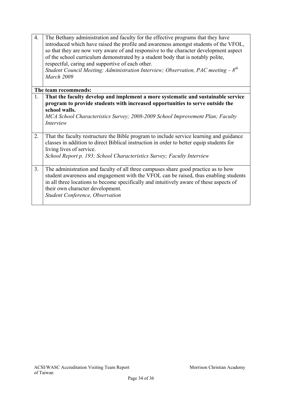| 4. | The Bethany administration and faculty for the effective programs that they have<br>introduced which have raised the profile and awareness amongst students of the VFOL,<br>so that they are now very aware of and responsive to the character development aspect<br>of the school curriculum demonstrated by a student body that is notably polite,<br>respectful, caring and supportive of each other.<br>Student Council Meeting; Administration Interview; Observation, PAC meeting $-8^{th}$<br>March 2009 |
|----|-----------------------------------------------------------------------------------------------------------------------------------------------------------------------------------------------------------------------------------------------------------------------------------------------------------------------------------------------------------------------------------------------------------------------------------------------------------------------------------------------------------------|
|    | The team recommends:                                                                                                                                                                                                                                                                                                                                                                                                                                                                                            |
| 1. | That the faculty develop and implement a more systematic and sustainable service<br>program to provide students with increased opportunities to serve outside the<br>school walls.<br>MCA School Characteristics Survey; 2008-2009 School Improvement Plan; Faculty<br>Interview                                                                                                                                                                                                                                |
| 2. | That the faculty restructure the Bible program to include service learning and guidance<br>classes in addition to direct Biblical instruction in order to better equip students for<br>living lives of service.<br>School Report p. 193; School Characteristics Survey; Faculty Interview                                                                                                                                                                                                                       |
| 3. | The administration and faculty of all three campuses share good practice as to how<br>student awareness and engagement with the VFOL can be raised, thus enabling students<br>in all three locations to become specifically and intuitively aware of these aspects of<br>their own character development.<br>Student Conference, Observation                                                                                                                                                                    |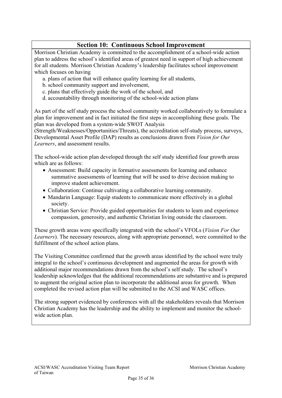### **Section 10: Continuous School Improvement**

Morrison Christian Academy is committed to the accomplishment of a school-wide action plan to address the school's identified areas of greatest need in support of high achievement for all students. Morrison Christian Academy's leadership facilitates school improvement which focuses on having

- a. plans of action that will enhance quality learning for all students,
- b. school community support and involvement,
- c. plans that effectively guide the work of the school, and
- d. accountability through monitoring of the school-wide action plans

As part of the self study process the school community worked collaboratively to formulate a plan for improvement and in fact initiated the first steps in accomplishing these goals. The plan was developed from a system-wide SWOT Analysis

(Strength/Weaknesses/Opportunities/Threats), the accreditation self-study process, surveys, Developmental Asset Profile (DAP) results as conclusions drawn from *Vision for Our Learners*, and assessment results.

The school-wide action plan developed through the self study identified four growth areas which are as follows:

- Assessment: Build capacity in formative assessments for learning and enhance summative assessments of learning that will be used to drive decision making to improve student achievement.
- Collaboration: Continue cultivating a collaborative learning community.
- Mandarin Language: Equip students to communicate more effectively in a global society.
- Christian Service: Provide guided opportunities for students to learn and experience compassion, generosity, and authentic Christian living outside the classroom.

These growth areas were specifically integrated with the school's VFOLs (*Vision For Our Learners*). The necessary resources, along with appropriate personnel, were committed to the fulfillment of the school action plans.

The Visiting Committee confirmed that the growth areas identified by the school were truly integral to the school's continuous development and augmented the areas for growth with additional major recommendations drawn from the school's self study. The school's leadership acknowledges that the additional recommendations are substantive and is prepared to augment the original action plan to incorporate the additional areas for growth. When completed the revised action plan will be submitted to the ACSI and WASC offices.

The strong support evidenced by conferences with all the stakeholders reveals that Morrison Christian Academy has the leadership and the ability to implement and monitor the schoolwide action plan.